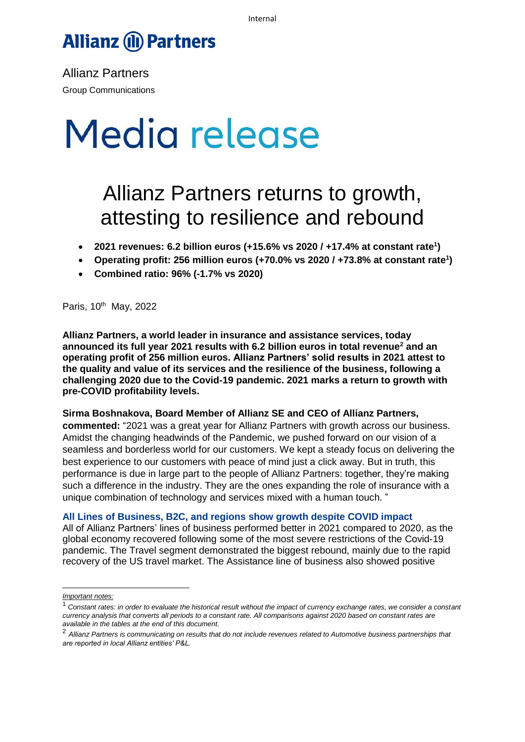# **Allianz (II) Partners**

Allianz Partners Group Communications

# Media release

# Allianz Partners returns to growth, attesting to resilience and rebound

- **2021 revenues: 6.2 billion euros (+15.6% vs 2020 / +17.4% at constant rate<sup>1</sup> )**
- **Operating profit: 256 million euros (+70.0% vs 2020 / +73.8% at constant rate<sup>1</sup> )**
- **Combined ratio: 96% (-1.7% vs 2020)**

Paris, 10<sup>th</sup> May, 2022

**Allianz Partners, a world leader in insurance and assistance services, today announced its full year 2021 results with 6.2 billion euros in total revenue<sup>2</sup> and an operating profit of 256 million euros. Allianz Partners' solid results in 2021 attest to the quality and value of its services and the resilience of the business, following a challenging 2020 due to the Covid-19 pandemic. 2021 marks a return to growth with pre-COVID profitability levels.**

## **Sirma Boshnakova, Board Member of Allianz SE and CEO of Allianz Partners,**

**commented:** "2021 was a great year for Allianz Partners with growth across our business. Amidst the changing headwinds of the Pandemic, we pushed forward on our vision of a seamless and borderless world for our customers. We kept a steady focus on delivering the best experience to our customers with peace of mind just a click away. But in truth, this performance is due in large part to the people of Allianz Partners: together, they're making such a difference in the industry. They are the ones expanding the role of insurance with a unique combination of technology and services mixed with a human touch. "

## **All Lines of Business, B2C, and regions show growth despite COVID impact**

All of Allianz Partners' lines of business performed better in 2021 compared to 2020, as the global economy recovered following some of the most severe restrictions of the Covid-19 pandemic. The Travel segment demonstrated the biggest rebound, mainly due to the rapid recovery of the US travel market. The Assistance line of business also showed positive

*Important notes:*

<sup>1</sup> *Constant rates: in order to evaluate the historical result without the impact of currency exchange rates, we consider a constant currency analysis that converts all periods to a constant rate. All comparisons against 2020 based on constant rates are available in the tables at the end of this document.*

<sup>2</sup> *Allianz Partners is communicating on results that do not include revenues related to Automotive business partnerships that are reported in local Allianz entities' P&L.*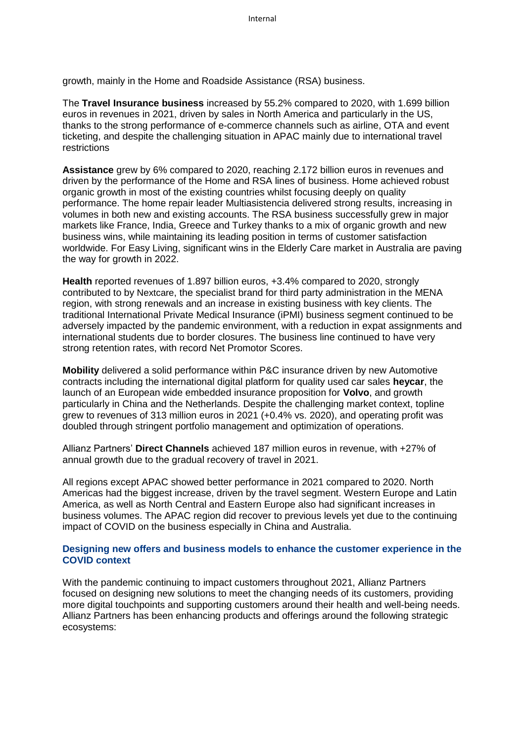growth, mainly in the Home and Roadside Assistance (RSA) business.

The **Travel Insurance business** increased by 55.2% compared to 2020, with 1.699 billion euros in revenues in 2021, driven by sales in North America and particularly in the US, thanks to the strong performance of e-commerce channels such as airline, OTA and event ticketing, and despite the challenging situation in APAC mainly due to international travel restrictions

**Assistance** grew by 6% compared to 2020, reaching 2.172 billion euros in revenues and driven by the performance of the Home and RSA lines of business. Home achieved robust organic growth in most of the existing countries whilst focusing deeply on quality performance. The home repair leader Multiasistencia delivered strong results, increasing in volumes in both new and existing accounts. The RSA business successfully grew in major markets like France, India, Greece and Turkey thanks to a mix of organic growth and new business wins, while maintaining its leading position in terms of customer satisfaction worldwide. For Easy Living, significant wins in the Elderly Care market in Australia are paving the way for growth in 2022.

**Health** reported revenues of 1.897 billion euros, +3.4% compared to 2020, strongly contributed to by Nextcare, the specialist brand for third party administration in the MENA region, with strong renewals and an increase in existing business with key clients. The traditional International Private Medical Insurance (iPMI) business segment continued to be adversely impacted by the pandemic environment, with a reduction in expat assignments and international students due to border closures. The business line continued to have very strong retention rates, with record Net Promotor Scores.

**Mobility** delivered a solid performance within P&C insurance driven by new Automotive contracts including the international digital platform for quality used car sales **heycar**, the launch of an European wide embedded insurance proposition for **Volvo**, and growth particularly in China and the Netherlands. Despite the challenging market context, topline grew to revenues of 313 million euros in 2021 (+0.4% vs. 2020), and operating profit was doubled through stringent portfolio management and optimization of operations.

Allianz Partners' **Direct Channels** achieved 187 million euros in revenue, with +27% of annual growth due to the gradual recovery of travel in 2021.

All regions except APAC showed better performance in 2021 compared to 2020. North Americas had the biggest increase, driven by the travel segment. Western Europe and Latin America, as well as North Central and Eastern Europe also had significant increases in business volumes. The APAC region did recover to previous levels yet due to the continuing impact of COVID on the business especially in China and Australia.

# **Designing new offers and business models to enhance the customer experience in the COVID context**

With the pandemic continuing to impact customers throughout 2021, Allianz Partners focused on designing new solutions to meet the changing needs of its customers, providing more digital touchpoints and supporting customers around their health and well-being needs. Allianz Partners has been enhancing products and offerings around the following strategic ecosystems: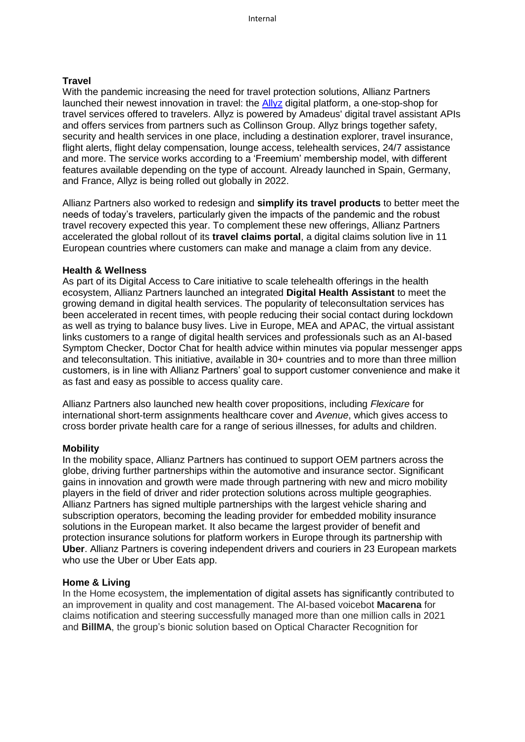## **Travel**

With the pandemic increasing the need for travel protection solutions, Allianz Partners launched their newest innovation in travel: the [Allyz](https://www.allyz.com/prehome/index.html) digital platform, a one-stop-shop for travel services offered to travelers. Allyz is powered by Amadeus' digital travel assistant APIs and offers services from partners such as Collinson Group. Allyz brings together safety, security and health services in one place, including a destination explorer, travel insurance, flight alerts, flight delay compensation, lounge access, telehealth services, 24/7 assistance and more. The service works according to a 'Freemium' membership model, with different features available depending on the type of account. Already launched in Spain, Germany, and France, Allyz is being rolled out globally in 2022.

Allianz Partners also worked to redesign and **simplify its travel products** to better meet the needs of today's travelers, particularly given the impacts of the pandemic and the robust travel recovery expected this year. To complement these new offerings, Allianz Partners accelerated the global rollout of its **travel claims portal**, a digital claims solution live in 11 European countries where customers can make and manage a claim from any device.

#### **Health & Wellness**

As part of its Digital Access to Care initiative to scale telehealth offerings in the health ecosystem, Allianz Partners launched an integrated **Digital Health Assistant** to meet the growing demand in digital health services. The popularity of teleconsultation services has been accelerated in recent times, with people reducing their social contact during lockdown as well as trying to balance busy lives. Live in Europe, MEA and APAC, the virtual assistant links customers to a range of digital health services and professionals such as an AI-based Symptom Checker, Doctor Chat for health advice within minutes via popular messenger apps and teleconsultation. This initiative, available in 30+ countries and to more than three million customers, is in line with Allianz Partners' goal to support customer convenience and make it as fast and easy as possible to access quality care.

Allianz Partners also launched new health cover propositions, including *Flexicare* for international short-term assignments healthcare cover and *Avenue*, which gives access to cross border private health care for a range of serious illnesses, for adults and children.

## **Mobility**

In the mobility space, Allianz Partners has continued to support OEM partners across the globe, driving further partnerships within the automotive and insurance sector. Significant gains in innovation and growth were made through partnering with new and micro mobility players in the field of driver and rider protection solutions across multiple geographies. Allianz Partners has signed multiple partnerships with the largest vehicle sharing and subscription operators, becoming the leading provider for embedded mobility insurance solutions in the European market. It also became the largest provider of benefit and protection insurance solutions for platform workers in Europe through its partnership with **Uber**. Allianz Partners is covering independent drivers and couriers in 23 European markets who use the Uber or Uber Eats app.

#### **Home & Living**

In the Home ecosystem, the implementation of digital assets has significantly contributed to an improvement in quality and cost management. The AI-based voicebot **Macarena** for claims notification and steering successfully managed more than one million calls in 2021 and **BillMA**, the group's bionic solution based on Optical Character Recognition for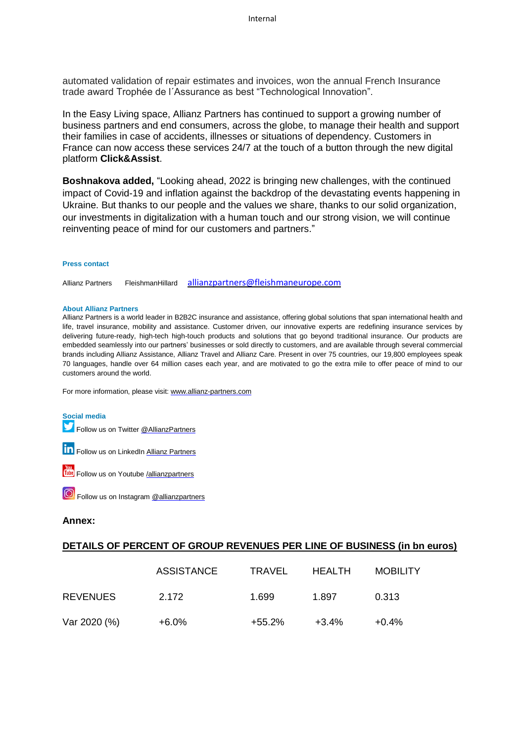automated validation of repair estimates and invoices, won the annual French Insurance trade award Trophée de l´Assurance as best "Technological Innovation".

In the Easy Living space, Allianz Partners has continued to support a growing number of business partners and end consumers, across the globe, to manage their health and support their families in case of accidents, illnesses or situations of dependency. Customers in France can now access these services 24/7 at the touch of a button through the new digital platform **Click&Assist**.

**Boshnakova added,** "Looking ahead, 2022 is bringing new challenges, with the continued impact of Covid-19 and inflation against the backdrop of the devastating events happening in Ukraine. But thanks to our people and the values we share, thanks to our solid organization, our investments in digitalization with a human touch and our strong vision, we will continue reinventing peace of mind for our customers and partners."

#### **Press contact**

Allianz Partners FleishmanHillard [allianzpartners@fleishmaneurope.com](mailto:allianzpartners@fleishmaneurope.com)

#### **About Allianz Partners**

Allianz Partners is a world leader in B2B2C insurance and assistance, offering global solutions that span international health and life, travel insurance, mobility and assistance. Customer driven, our innovative experts are redefining insurance services by delivering future-ready, high-tech high-touch products and solutions that go beyond traditional insurance. Our products are embedded seamlessly into our partners' businesses or sold directly to customers, and are available through several commercial brands including Allianz Assistance, Allianz Travel and Allianz Care. Present in over 75 countries, our 19,800 employees speak 70 languages, handle over 64 million cases each year, and are motivated to go the extra mile to offer peace of mind to our customers around the world.

For more information, please visit: [www.allianz-partners.com](http://www.allianz-partners.com/)

#### **Social media**

Follow us on Twitter [@AllianzPartners](https://twitter.com/AllianzPartners)

**in** Follow us on LinkedIn **Allianz [Partners](https://www.linkedin.com/company/allianz-partners?trk=tyah&trkInfo=clickedVertical:company,clickedEntityId:2255755,idx:2-2-3,tarId:1463470898947,tas:allianz%2520global)** 





#### **Annex:**

# **DETAILS OF PERCENT OF GROUP REVENUES PER LINE OF BUSINESS (in bn euros)**

|                 | ASSISTANCE | TRAVEL | <b>HEALTH</b> | <b>MOBILITY</b> |
|-----------------|------------|--------|---------------|-----------------|
| <b>REVENUES</b> | 2.172      | 1.699  | 1.897         | 0.313           |
| Var 2020 (%)    | +6.0%      | +55.2% | $+3.4\%$      | $+0.4%$         |